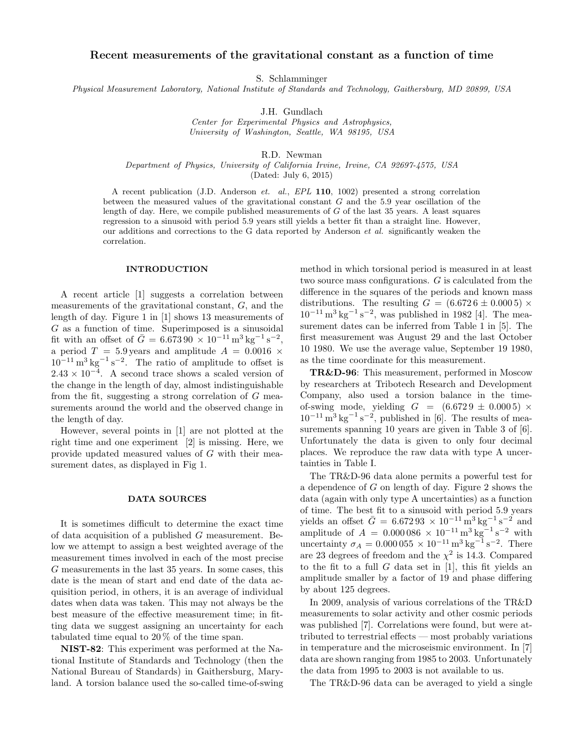# Recent measurements of the gravitational constant as a function of time

S. Schlamminger

Physical Measurement Laboratory, National Institute of Standards and Technology, Gaithersburg, MD 20899, USA

J.H. Gundlach

Center for Experimental Physics and Astrophysics, University of Washington, Seattle, WA 98195, USA

R.D. Newman

Department of Physics, University of California Irvine, Irvine, CA 92697-4575, USA

(Dated: July 6, 2015)

A recent publication (J.D. Anderson et. al., EPL 110, 1002) presented a strong correlation between the measured values of the gravitational constant  $G$  and the 5.9 year oscillation of the length of day. Here, we compile published measurements of  $G$  of the last 35 years. A least squares regression to a sinusoid with period 5.9 years still yields a better fit than a straight line. However, our additions and corrections to the G data reported by Anderson et al. significantly weaken the correlation.

#### INTRODUCTION

A recent article [1] suggests a correlation between measurements of the gravitational constant, G, and the length of day. Figure 1 in [1] shows 13 measurements of G as a function of time. Superimposed is a sinusoidal fit with an offset of  $\bar{G} = 6.67390 \times 10^{-11} \,\mathrm{m}^3 \,\mathrm{kg}^{-1} \,\mathrm{s}^{-2}$ , a period  $T = 5.9$  years and amplitude  $A = 0.0016 \times$  $10^{-11}$  m<sup>3</sup> kg<sup>-1</sup> s<sup>-2</sup>. The ratio of amplitude to offset is  $2.43 \times 10^{-4}$ . A second trace shows a scaled version of the change in the length of day, almost indistinguishable from the fit, suggesting a strong correlation of G measurements around the world and the observed change in the length of day.

However, several points in [1] are not plotted at the right time and one experiment [2] is missing. Here, we provide updated measured values of G with their measurement dates, as displayed in Fig 1.

#### DATA SOURCES

It is sometimes difficult to determine the exact time of data acquisition of a published G measurement. Below we attempt to assign a best weighted average of the measurement times involved in each of the most precise G measurements in the last 35 years. In some cases, this date is the mean of start and end date of the data acquisition period, in others, it is an average of individual dates when data was taken. This may not always be the best measure of the effective measurement time; in fitting data we suggest assigning an uncertainty for each tabulated time equal to 20 % of the time span.

NIST-82: This experiment was performed at the National Institute of Standards and Technology (then the National Bureau of Standards) in Gaithersburg, Maryland. A torsion balance used the so-called time-of-swing

method in which torsional period is measured in at least two source mass configurations. G is calculated from the difference in the squares of the periods and known mass distributions. The resulting  $G = (6.6726 \pm 0.0005) \times$  $10^{-11}$  m<sup>3</sup> kg<sup>-1</sup> s<sup>-2</sup>, was published in 1982 [4]. The measurement dates can be inferred from Table 1 in [5]. The first measurement was August 29 and the last October 10 1980. We use the average value, September 19 1980, as the time coordinate for this measurement.

TR&D-96: This measurement, performed in Moscow by researchers at Tribotech Research and Development Company, also used a torsion balance in the timeof-swing mode, yielding  $G = (6.6729 \pm 0.0005) \times$  $10^{-11}$  m<sup>3</sup> kg<sup>-1</sup> s<sup>-2</sup>, published in [6]. The results of measurements spanning 10 years are given in Table 3 of  $[6]$ . Unfortunately the data is given to only four decimal places. We reproduce the raw data with type A uncertainties in Table I.

The TR&D-96 data alone permits a powerful test for a dependence of G on length of day. Figure 2 shows the data (again with only type A uncertainties) as a function of time. The best fit to a sinusoid with period 5.9 years yields an offset  $\bar{G} = 6.67293 \times 10^{-11} \text{ m}^3 \text{ kg}^{-1} \text{ s}^{-2}$  and amplitude of  $A = 0.000086 \times 10^{-11} \text{ m}^3 \text{ kg}^{-1} \text{ s}^{-2}$  with uncertainty  $\sigma_A = 0.000055 \times 10^{-11} \,\text{m}^3 \,\text{kg}^{-1} \,\text{s}^{-2}$ . There are 23 degrees of freedom and the  $\chi^2$  is 14.3. Compared to the fit to a full  $G$  data set in [1], this fit yields an amplitude smaller by a factor of 19 and phase differing by about 125 degrees.

In 2009, analysis of various correlations of the TR&D measurements to solar activity and other cosmic periods was published [7]. Correlations were found, but were attributed to terrestrial effects — most probably variations in temperature and the microseismic environment. In [7] data are shown ranging from 1985 to 2003. Unfortunately the data from 1995 to 2003 is not available to us.

The TR&D-96 data can be averaged to yield a single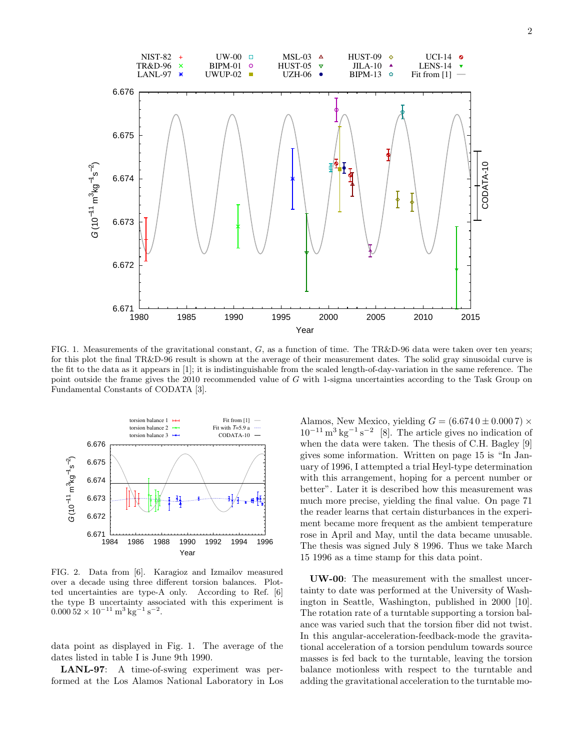

FIG. 1. Measurements of the gravitational constant,  $G$ , as a function of time. The TR&D-96 data were taken over ten years; for this plot the final TR&D-96 result is shown at the average of their measurement dates. The solid gray sinusoidal curve is the fit to the data as it appears in [1]; it is indistinguishable from the scaled length-of-day-variation in the same reference. The point outside the frame gives the 2010 recommended value of G with 1-sigma uncertainties according to the Task Group on Fundamental Constants of CODATA [3].



FIG. 2. Data from [6]. Karagioz and Izmailov measured over a decade using three different torsion balances. Plotted uncertainties are type-A only. According to Ref. [6] the type B uncertainty associated with this experiment is  $0.000\,52 \times 10^{-11} \,\mathrm{m}^3 \,\mathrm{kg}^{-1} \,\mathrm{s}^{-2}.$ 

data point as displayed in Fig. 1. The average of the dates listed in table I is June 9th 1990.

LANL-97: A time-of-swing experiment was performed at the Los Alamos National Laboratory in Los

Alamos, New Mexico, yielding  $G = (6.6740 \pm 0.0007) \times$  $10^{-11}$  m<sup>3</sup> kg<sup>-1</sup> s<sup>-2</sup> [8]. The article gives no indication of when the data were taken. The thesis of C.H. Bagley [9] gives some information. Written on page 15 is "In January of 1996, I attempted a trial Heyl-type determination with this arrangement, hoping for a percent number or better". Later it is described how this measurement was much more precise, yielding the final value. On page 71 the reader learns that certain disturbances in the experiment became more frequent as the ambient temperature rose in April and May, until the data became unusable. The thesis was signed July 8 1996. Thus we take March 15 1996 as a time stamp for this data point.

UW-00: The measurement with the smallest uncertainty to date was performed at the University of Washington in Seattle, Washington, published in 2000 [10]. The rotation rate of a turntable supporting a torsion balance was varied such that the torsion fiber did not twist. In this angular-acceleration-feedback-mode the gravitational acceleration of a torsion pendulum towards source masses is fed back to the turntable, leaving the torsion balance motionless with respect to the turntable and adding the gravitational acceleration to the turntable mo-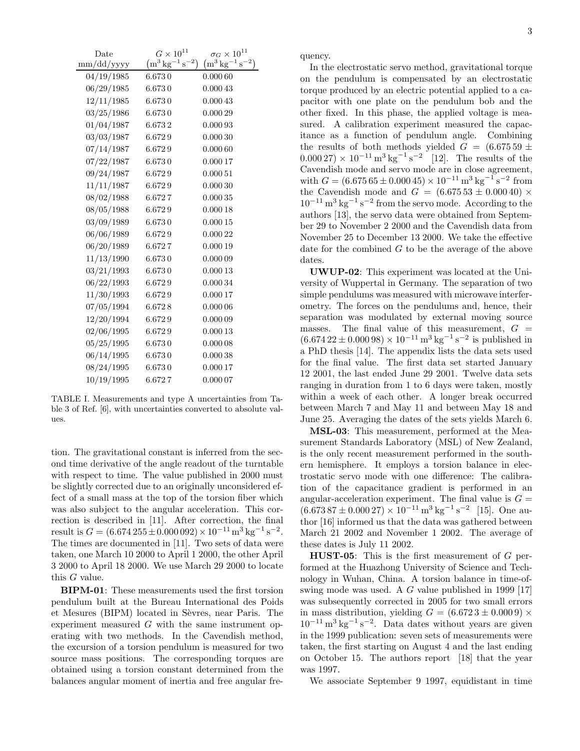| $_{\text{Date}}$ | $G\times10^{11}$                       | $\sigma_G\times 10^{11}$               |
|------------------|----------------------------------------|----------------------------------------|
| mm/dd/yyyy       | $(m^3 \text{ kg}^{-1} \text{ s}^{-2})$ | $(m^3 \text{ kg}^{-1} \text{ s}^{-2})$ |
| 04/19/1985       | 6.6730                                 | 0.00060                                |
| 06/29/1985       | 6.6730                                 | 0.00043                                |
| 12/11/1985       | 6.6730                                 | 0.000 43                               |
| 03/25/1986       | 6.6730                                 | 0.000 29                               |
| 01/04/1987       | 6.6732                                 | 0.000 93                               |
| 03/03/1987       | 6.6729                                 | 0.00030                                |
| 07/14/1987       | 6.6729                                 | 0.00060                                |
| 07/22/1987       | 6.6730                                 | 0.000 17                               |
| 09/24/1987       | 6.6729                                 | 0.00051                                |
| 11/11/1987       | 6.6729                                 | 0.00030                                |
| 08/02/1988       | 6.6727                                 | 0.00035                                |
| 08/05/1988       | 6.6729                                 | 0.00018                                |
| 03/09/1989       | 6.6730                                 | 0.000 15                               |
| 06/06/1989       | 6.6729                                 | 0.000 22                               |
| 06/20/1989       | 6.6727                                 | 0.00019                                |
| 11/13/1990       | 6.6730                                 | 0.00009                                |
| 03/21/1993       | 6.6730                                 | $0.000\,13$                            |
| 06/22/1993       | 6.6729                                 | 0.00034                                |
| 11/30/1993       | 6.6729                                 | 0.00017                                |
| 07/05/1994       | 6.6728                                 | 0.00006                                |
| 12/20/1994       | 6.6729                                 | 0.00009                                |
| 02/06/1995       | 6.6729                                 | 0.00013                                |
| 05/25/1995       | 6.6730                                 | 0.00008                                |
| 06/14/1995       | 6.6730                                 | 0.00038                                |
| 08/24/1995       | 6.6730                                 | 0.000 17                               |
| 10/19/1995       | 6.6727                                 | 0.000 07                               |

TABLE I. Measurements and type A uncertainties from Table 3 of Ref. [6], with uncertainties converted to absolute values.

tion. The gravitational constant is inferred from the second time derivative of the angle readout of the turntable with respect to time. The value published in 2000 must be slightly corrected due to an originally unconsidered effect of a small mass at the top of the torsion fiber which was also subject to the angular acceleration. This correction is described in [11]. After correction, the final result is  $G = (6.674\,255 \pm 0.000\,092) \times 10^{-11} \text{m}^3 \text{ kg}^{-1} \text{ s}^{-2}$ . The times are documented in [11]. Two sets of data were taken, one March 10 2000 to April 1 2000, the other April 3 2000 to April 18 2000. We use March 29 2000 to locate this G value.

BIPM-01: These measurements used the first torsion pendulum built at the Bureau International des Poids et Mesures (BIPM) located in Sèvres, near Paris. The experiment measured  $G$  with the same instrument operating with two methods. In the Cavendish method, the excursion of a torsion pendulum is measured for two source mass positions. The corresponding torques are obtained using a torsion constant determined from the balances angular moment of inertia and free angular frequency.

In the electrostatic servo method, gravitational torque on the pendulum is compensated by an electrostatic torque produced by an electric potential applied to a capacitor with one plate on the pendulum bob and the other fixed. In this phase, the applied voltage is measured. A calibration experiment measured the capacitance as a function of pendulum angle. Combining the results of both methods yielded  $G = (6.67559 \pm 1)$  $(0.00027) \times 10^{-11} \,\mathrm{m}^3 \,\mathrm{kg}^{-1} \,\mathrm{s}^{-2}$  [12]. The results of the Cavendish mode and servo mode are in close agreement, with  $G = (6.67565 \pm 0.00045) \times 10^{-11} \,\mathrm{m}^3 \,\mathrm{kg}^{-1} \,\mathrm{s}^{-2}$  from the Cavendish mode and  $G = (6.67553 \pm 0.00040) \times$  $10^{-11}$  m<sup>3</sup> kg<sup>-1</sup> s<sup>-2</sup> from the servo mode. According to the authors [13], the servo data were obtained from September 29 to November 2 2000 and the Cavendish data from November 25 to December 13 2000. We take the effective date for the combined  $G$  to be the average of the above dates.

UWUP-02: This experiment was located at the University of Wuppertal in Germany. The separation of two simple pendulums was measured with microwave interferometry. The forces on the pendulums and, hence, their separation was modulated by external moving source masses. The final value of this measurement,  $G =$  $(6.67422 \pm 0.00098) \times 10^{-11} \,\mathrm{m}^3 \,\mathrm{kg}^{-1} \,\mathrm{s}^{-2}$  is published in a PhD thesis [14]. The appendix lists the data sets used for the final value. The first data set started January 12 2001, the last ended June 29 2001. Twelve data sets ranging in duration from 1 to 6 days were taken, mostly within a week of each other. A longer break occurred between March 7 and May 11 and between May 18 and June 25. Averaging the dates of the sets yields March 6.

MSL-03: This measurement, performed at the Measurement Standards Laboratory (MSL) of New Zealand, is the only recent measurement performed in the southern hemisphere. It employs a torsion balance in electrostatic servo mode with one difference: The calibration of the capacitance gradient is performed in an angular-acceleration experiment. The final value is  $G =$  $(6.67387 \pm 0.00027) \times 10^{-11} \text{ m}^3 \text{ kg}^{-1} \text{ s}^{-2}$  [15]. One author [16] informed us that the data was gathered between March 21 2002 and November 1 2002. The average of these dates is July 11 2002.

**HUST-05**: This is the first measurement of  $G$  performed at the Huazhong University of Science and Technology in Wuhan, China. A torsion balance in time-ofswing mode was used. A G value published in 1999 [17] was subsequently corrected in 2005 for two small errors in mass distribution, yielding  $G = (6.6723 \pm 0.0009) \times$  $10^{-11}$  m<sup>3</sup> kg<sup>-1</sup> s<sup>-2</sup>. Data dates without years are given in the 1999 publication: seven sets of measurements were taken, the first starting on August 4 and the last ending on October 15. The authors report [18] that the year was 1997.

We associate September 9 1997, equidistant in time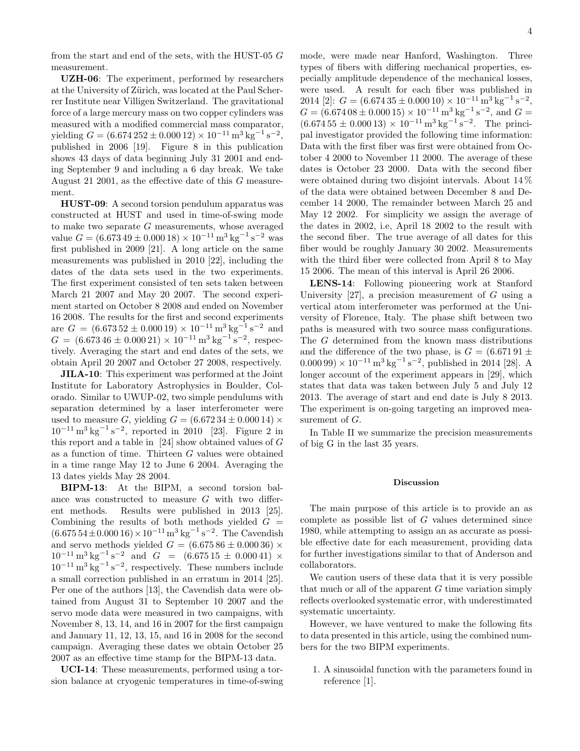from the start and end of the sets, with the HUST-05 G measurement.

UZH-06: The experiment, performed by researchers at the University of Zürich, was located at the Paul Scherrer Institute near Villigen Switzerland. The gravitational force of a large mercury mass on two copper cylinders was measured with a modified commercial mass comparator, yielding  $G = (6.674\,252 \pm 0.000\,12) \times 10^{-11} \,\mathrm{m}^3 \,\mathrm{kg}^{-1} \,\mathrm{s}^{-2},$ published in 2006 [19]. Figure 8 in this publication shows 43 days of data beginning July 31 2001 and ending September 9 and including a 6 day break. We take August 21 2001, as the effective date of this G measurement.

HUST-09: A second torsion pendulum apparatus was constructed at HUST and used in time-of-swing mode to make two separate  $G$  measurements, whose averaged value  $G = (6.67349 \pm 0.00018) \times 10^{-11} \text{ m}^3 \text{ kg}^{-1} \text{ s}^{-2}$  was first published in 2009 [21]. A long article on the same measurements was published in 2010 [22], including the dates of the data sets used in the two experiments. The first experiment consisted of ten sets taken between March 21 2007 and May 20 2007. The second experiment started on October 8 2008 and ended on November 16 2008. The results for the first and second experiments are  $G = (6.67352 \pm 0.00019) \times 10^{-11} \text{ m}^3 \text{ kg}^{-1} \text{ s}^{-2}$  and  $G = (6.67346 \pm 0.00021) \times 10^{-11} \,\mathrm{m}^3 \,\mathrm{kg}^{-1} \,\mathrm{s}^{-2}$ , respectively. Averaging the start and end dates of the sets, we obtain April 20 2007 and October 27 2008, respectively.

JILA-10: This experiment was performed at the Joint Institute for Laboratory Astrophysics in Boulder, Colorado. Similar to UWUP-02, two simple pendulums with separation determined by a laser interferometer were used to measure G, yielding  $G = (6.67234 \pm 0.00014) \times$  $10^{-11}$  m<sup>3</sup> kg<sup>-1</sup> s<sup>-2</sup>, reported in 2010 [23]. Figure 2 in this report and a table in  $[24]$  show obtained values of G as a function of time. Thirteen G values were obtained in a time range May 12 to June 6 2004. Averaging the 13 dates yields May 28 2004.

BIPM-13: At the BIPM, a second torsion balance was constructed to measure G with two different methods. Results were published in 2013 [25]. Combining the results of both methods yielded  $G =$  $(6.67554 \pm 0.00016) \times 10^{-11} \text{ m}^3 \text{ kg}^{-1} \text{ s}^{-2}$ . The Cavendish and servo methods yielded  $G = (6.67586 \pm 0.00036) \times$  $10^{-11} \text{ m}^3 \text{ kg}^{-1} \text{ s}^{-2}$  and  $G = (6.67515 \pm 0.00041) \times$  $10^{-11}$  m<sup>3</sup> kg<sup>-1</sup> s<sup>-2</sup>, respectively. These numbers include a small correction published in an erratum in 2014 [25]. Per one of the authors [13], the Cavendish data were obtained from August 31 to September 10 2007 and the servo mode data were measured in two campaigns, with November 8, 13, 14, and 16 in 2007 for the first campaign and January 11, 12, 13, 15, and 16 in 2008 for the second campaign. Averaging these dates we obtain October 25 2007 as an effective time stamp for the BIPM-13 data.

UCI-14: These measurements, performed using a torsion balance at cryogenic temperatures in time-of-swing mode, were made near Hanford, Washington. Three types of fibers with differing mechanical properties, especially amplitude dependence of the mechanical losses, were used. A result for each fiber was published in 2014 [2]:  $G = (6.67435 \pm 0.00010) \times 10^{-11} \text{ m}^3 \text{ kg}^{-1} \text{ s}^{-2},$  $G = (6.674\,08 \pm 0.000\,15) \times 10^{-11} \,\mathrm{m}^3 \,\mathrm{kg}^{-1} \,\mathrm{s}^{-2}, \,\mathrm{and} \,\, G =$  $(6.67455 \pm 0.00013) \times 10^{-11} \text{ m}^3 \text{ kg}^{-1} \text{ s}^{-2}$ . The principal investigator provided the following time information: Data with the first fiber was first were obtained from October 4 2000 to November 11 2000. The average of these dates is October 23 2000. Data with the second fiber were obtained during two disjoint intervals. About 14 % of the data were obtained between December 8 and December 14 2000, The remainder between March 25 and May 12 2002. For simplicity we assign the average of the dates in 2002, i.e, April 18 2002 to the result with the second fiber. The true average of all dates for this fiber would be roughly January 30 2002. Measurements with the third fiber were collected from April 8 to May 15 2006. The mean of this interval is April 26 2006.

LENS-14: Following pioneering work at Stanford University [27], a precision measurement of G using a vertical atom interferometer was performed at the University of Florence, Italy. The phase shift between two paths is measured with two source mass configurations. The G determined from the known mass distributions and the difference of the two phase, is  $G = (6.67191 \pm 1)$  $(0.00099) \times 10^{-11} \,\mathrm{m}^3 \,\mathrm{kg}^{-1} \,\mathrm{s}^{-2}$ , published in 2014 [28]. A longer account of the experiment appears in [29], which states that data was taken between July 5 and July 12 2013. The average of start and end date is July 8 2013. The experiment is on-going targeting an improved measurement of  $G$ .

In Table II we summarize the precision measurements of big G in the last 35 years.

## Discussion

The main purpose of this article is to provide an as complete as possible list of G values determined since 1980, while attempting to assign an as accurate as possible effective date for each measurement, providing data for further investigations similar to that of Anderson and collaborators.

We caution users of these data that it is very possible that much or all of the apparent  $G$  time variation simply reflects overlooked systematic error, with underestimated systematic uncertainty.

However, we have ventured to make the following fits to data presented in this article, using the combined numbers for the two BIPM experiments.

1. A sinusoidal function with the parameters found in reference [1].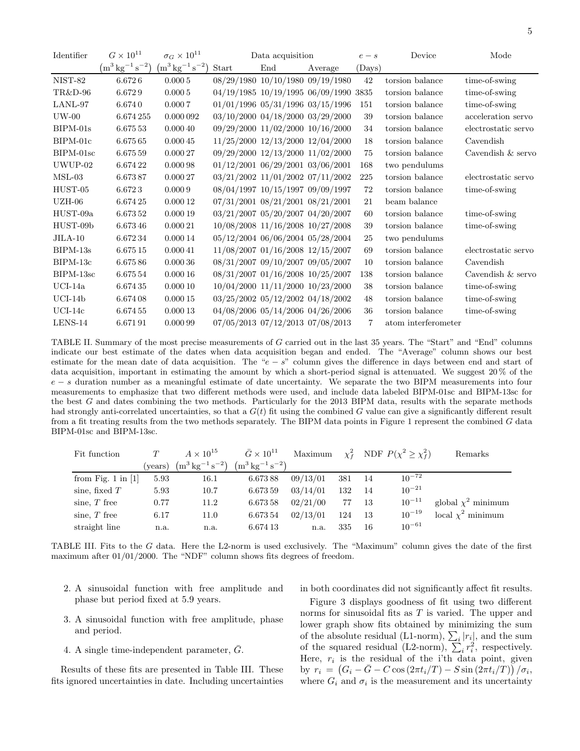| Identifier | $G\times 10^{11}$                      | $\sigma_G \times 10^{11}$              | Data acquisition |                                        | $e - s$                                | Device | Mode                |                     |
|------------|----------------------------------------|----------------------------------------|------------------|----------------------------------------|----------------------------------------|--------|---------------------|---------------------|
|            | $(m^3 \text{ kg}^{-1} \text{ s}^{-2})$ | $(m^3 \text{ kg}^{-1} \text{ s}^{-2})$ | Start            | End                                    | Average                                | (Days) |                     |                     |
| NIST-82    | 6.6726                                 | 0.0005                                 |                  |                                        | 08/29/1980 10/10/1980 09/19/1980       | 42     | torsion balance     | time-of-swing       |
| TR&D-96    | 6.6729                                 | 0.0005                                 |                  |                                        | 04/19/1985 10/19/1995 06/09/1990 3835  |        | torsion balance     | time-of-swing       |
| LANL-97    | 6.6740                                 | 0.0007                                 |                  |                                        | $01/01/1996$ $05/31/1996$ $03/15/1996$ | 151    | torsion balance     | time-of-swing       |
| $UW-00$    | 6.674 255                              | 0.000 092                              |                  |                                        | 03/10/2000 04/18/2000 03/29/2000       | 39     | torsion balance     | acceleration servo  |
| $BIPM-01s$ | 6.675 53                               | 0.00040                                |                  |                                        | 09/29/2000 11/02/2000 10/16/2000       | 34     | torsion balance     | electrostatic servo |
| BIPM-01c   | 6.675 65                               | 0.00045                                |                  | 11/25/2000 12/13/2000 12/04/2000       |                                        | 18     | torsion balance     | Cavendish           |
| BIPM-01sc  | 6.675 59                               | 0.00027                                |                  |                                        | 09/29/2000 12/13/2000 11/02/2000       | 75     | torsion balance     | Cavendish & servo   |
| UWUP-02    | 6.674 22                               | 0.00098                                |                  | $01/12/2001$ $06/29/2001$ $03/06/2001$ |                                        | 168    | two pendulums       |                     |
| $MSL-03$   | 6.67387                                | 0.00027                                |                  |                                        | $03/21/2002$ $11/01/2002$ $07/11/2002$ | 225    | torsion balance     | electrostatic servo |
| HUST-05    | 6.6723                                 | 0.0009                                 |                  | 08/04/1997 10/15/1997 09/09/1997       |                                        | 72     | torsion balance     | time-of-swing       |
| $UZH-06$   | 6.674 25                               | 0.00012                                |                  | $07/31/2001$ $08/21/2001$ $08/21/2001$ |                                        | 21     | beam balance        |                     |
| HUST-09a   | 6.673 52                               | 0.00019                                |                  | 03/21/2007 05/20/2007 04/20/2007       |                                        | 60     | torsion balance     | time-of-swing       |
| HUST-09b   | 6.67346                                | 0.00021                                |                  | 10/08/2008 11/16/2008 10/27/2008       |                                        | 39     | torsion balance     | time-of-swing       |
| $JILA-10$  | 6.67234                                | 0.000 14                               |                  |                                        | 05/12/2004 06/06/2004 05/28/2004       | 25     | two pendulums       |                     |
| $BIPM-13s$ | 6.675 15                               | 0.00041                                |                  | 11/08/2007 01/16/2008 12/15/2007       |                                        | 69     | torsion balance     | electrostatic servo |
| BIPM-13c   | 6.67586                                | 0.00036                                |                  | 08/31/2007 09/10/2007 09/05/2007       |                                        | 10     | torsion balance     | Cavendish           |
| BIPM-13sc  | 6.675 54                               | 0.00016                                |                  | 08/31/2007 01/16/2008 10/25/2007       |                                        | 138    | torsion balance     | Cavendish & servo   |
| $UCI-14a$  | 6.67435                                | 0.00010                                |                  |                                        | 10/04/2000 11/11/2000 10/23/2000       | 38     | torsion balance     | time-of-swing       |
| $UCI-14b$  | 6.674 08                               | 0.00015                                |                  |                                        | 03/25/2002 05/12/2002 04/18/2002       | 48     | torsion balance     | time-of-swing       |
| $UCI-14c$  | 6.674 55                               | 0.00013                                |                  |                                        | $04/08/2006$ $05/14/2006$ $04/26/2006$ | 36     | torsion balance     | time-of-swing       |
| LENS-14    | 6.67191                                | 0.000 99                               |                  | 07/05/2013 07/12/2013 07/08/2013       |                                        | 7      | atom interferometer |                     |

TABLE II. Summary of the most precise measurements of G carried out in the last 35 years. The "Start" and "End" columns indicate our best estimate of the dates when data acquisition began and ended. The "Average" column shows our best estimate for the mean date of data acquisition. The " $e - s$ " column gives the difference in days between end and start of data acquisition, important in estimating the amount by which a short-period signal is attenuated. We suggest 20 % of the  $e - s$  duration number as a meaningful estimate of date uncertainty. We separate the two BIPM measurements into four measurements to emphasize that two different methods were used, and include data labeled BIPM-01sc and BIPM-13sc for the best G and dates combining the two methods. Particularly for the 2013 BIPM data, results with the separate methods had strongly anti-correlated uncertainties, so that a  $G(t)$  fit using the combined G value can give a significantly different result from a fit treating results from the two methods separately. The BIPM data points in Figure 1 represent the combined G data BIPM-01sc and BIPM-13sc.

| Fit function         |         | $A \times 10^{15}$                     | $\bar{G} \times 10^{11}$               | Maximum  |     |     | $\chi_f^2$ NDF $P(\chi^2 \geq \chi_f^2)$ | Remarks                 |
|----------------------|---------|----------------------------------------|----------------------------------------|----------|-----|-----|------------------------------------------|-------------------------|
|                      | (years) | $(m^3 \text{ kg}^{-1} \text{ s}^{-2})$ | $(m^3 \text{ kg}^{-1} \text{ s}^{-2})$ |          |     |     |                                          |                         |
| from Fig. 1 in $[1]$ | 5.93    | 16.1                                   | 6.67388                                | 09/13/01 | 381 | -14 | $10^{-72}$                               |                         |
| sine, fixed $T$      | 5.93    | 10.7                                   | 6.673 59                               | 03/14/01 | 132 | -14 | $10^{-21}$                               |                         |
| sine, $T$ free       | 0.77    | 11.2                                   | 6.673 58                               | 02/21/00 | 77  | -13 | $10^{-11}$                               | global $\chi^2$ minimum |
| sine, $T$ free       | 6.17    | 11.0                                   | 6.673 54                               | 02/13/01 | 124 | -13 | $10^{-19}$                               | local $\chi^2$ minimum  |
| straight line        | n.a.    | n.a.                                   | 6.674 13                               | n.a.     | 335 | 16  | $10^{-61}$                               |                         |

TABLE III. Fits to the G data. Here the L2-norm is used exclusively. The "Maximum" column gives the date of the first maximum after 01/01/2000. The "NDF" column shows fits degrees of freedom.

2. A sinusoidal function with free amplitude and phase but period fixed at 5.9 years.

3. A sinusoidal function with free amplitude, phase and period.

4. A single time-independent parameter,  $\bar{G}$ .

Results of these fits are presented in Table III. These fits ignored uncertainties in date. Including uncertainties

in both coordinates did not significantly affect fit results.

Figure 3 displays goodness of fit using two different norms for sinusoidal fits as T is varied. The upper and lower graph show fits obtained by minimizing the sum of the absolute residual (L1-norm),  $\sum_i |r_i|$ , and the sum of the squared residual (L2-norm),  $\sum_{i}^{n} r_i^2$ , respectively. Here,  $r_i$  is the residual of the i'th data point, given by  $r_i = (G_i - \bar{G} - C \cos(2\pi t_i/T) - S \sin(2\pi t_i/T)) / \sigma_i$ where  $G_i$  and  $\sigma_i$  is the measurement and its uncertainty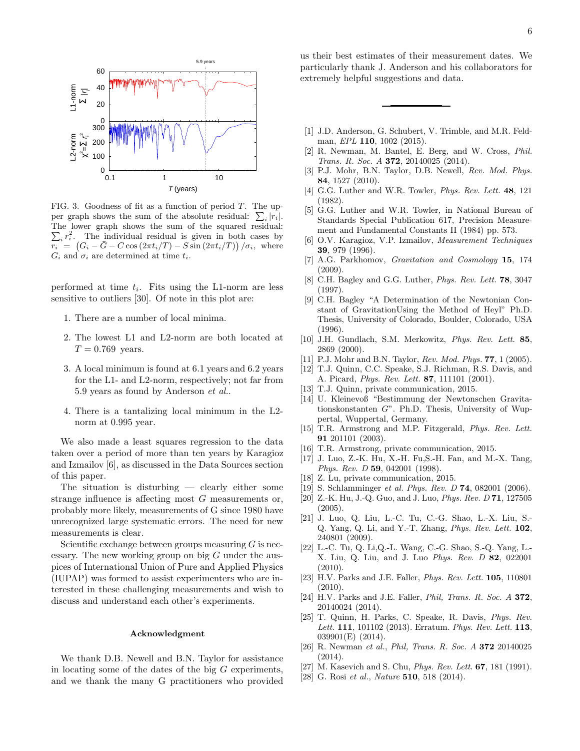

FIG. 3. Goodness of fit as a function of period  $T$ . The upper graph shows the sum of the absolute residual:  $\sum_i |r_i|$ . The lower graph shows the sum of the squared residual:  $\sum_i r_i^2$ . The individual residual is given in both cases by  $\overline{r_i} = (G_i - \bar{G} - C \cos(2\pi t_i/T) - S \sin(2\pi t_i/T)) / \sigma_i$ , where  $G_i$  and  $\sigma_i$  are determined at time  $t_i$ .

performed at time  $t_i$ . Fits using the L1-norm are less sensitive to outliers [30]. Of note in this plot are:

- 1. There are a number of local minima.
- 2. The lowest L1 and L2-norm are both located at  $T = 0.769$  years.
- 3. A local minimum is found at 6.1 years and 6.2 years for the L1- and L2-norm, respectively; not far from 5.9 years as found by Anderson et al..
- 4. There is a tantalizing local minimum in the L2 norm at 0.995 year.

We also made a least squares regression to the data taken over a period of more than ten years by Karagioz and Izmailov [6], as discussed in the Data Sources section of this paper.

The situation is disturbing — clearly either some strange influence is affecting most G measurements or, probably more likely, measurements of G since 1980 have unrecognized large systematic errors. The need for new measurements is clear.

Scientific exchange between groups measuring  $G$  is necessary. The new working group on big  $G$  under the auspices of International Union of Pure and Applied Physics (IUPAP) was formed to assist experimenters who are interested in these challenging measurements and wish to discuss and understand each other's experiments.

## Acknowledgment

We thank D.B. Newell and B.N. Taylor for assistance in locating some of the dates of the big  $G$  experiments, and we thank the many G practitioners who provided

us their best estimates of their measurement dates. We particularly thank J. Anderson and his collaborators for extremely helpful suggestions and data.

- [1] J.D. Anderson, G. Schubert, V. Trimble, and M.R. Feldman, *EPL* **110**, 1002 (2015).
- [2] R. Newman, M. Bantel, E. Berg, and W. Cross, Phil. Trans. R. Soc. A 372, 20140025 (2014).
- [3] P.J. Mohr, B.N. Taylor, D.B. Newell, Rev. Mod. Phys. 84, 1527 (2010).
- [4] G.G. Luther and W.R. Towler, *Phys. Rev. Lett.* **48**, 121 (1982).
- [5] G.G. Luther and W.R. Towler, in National Bureau of Standards Special Publication 617, Precision Measurement and Fundamental Constants II (1984) pp. 573.
- [6] O.V. Karagioz, V.P. Izmailov, Measurement Techniques 39, 979 (1996).
- [7] A.G. Parkhomov, Gravitation and Cosmology 15, 174 (2009).
- [8] C.H. Bagley and G.G. Luther, Phys. Rev. Lett. 78, 3047 (1997).
- [9] C.H. Bagley "A Determination of the Newtonian Constant of GravitationUsing the Method of Heyl" Ph.D. Thesis, University of Colorado, Boulder, Colorado, USA (1996).
- [10] J.H. Gundlach, S.M. Merkowitz, Phys. Rev. Lett. 85, 2869 (2000).
- [11] P.J. Mohr and B.N. Taylor, Rev. Mod. Phys. **77**, 1 (2005).
- [12] T.J. Quinn, C.C. Speake, S.J. Richman, R.S. Davis, and A. Picard, Phys. Rev. Lett. 87, 111101 (2001).
- [13] T.J. Quinn, private communication, 2015.
- [14] U. Kleinevoß "Bestimmung der Newtonschen Gravitationskonstanten G". Ph.D. Thesis, University of Wuppertal, Wuppertal, Germany.
- [15] T.R. Armstrong and M.P. Fitzgerald, Phys. Rev. Lett. 91 201101 (2003).
- [16] T.R. Armstrong, private communication, 2015.
- [17] J. Luo, Z.-K. Hu, X.-H. Fu,S.-H. Fan, and M.-X. Tang, Phys. Rev. D 59, 042001 (1998).
- [18] Z. Lu, private communication, 2015.
- [19] S. Schlamminger *et al. Phys. Rev. D* **74**, 082001 (2006).
- [20] Z.-K. Hu, J.-Q. Guo, and J. Luo, Phys. Rev. D 71, 127505 (2005).
- [21] J. Luo, Q. Liu, L.-C. Tu, C.-G. Shao, L.-X. Liu, S.- Q. Yang, Q. Li, and Y.-T. Zhang, Phys. Rev. Lett. 102, 240801 (2009).
- [22] L.-C. Tu, Q. Li,Q.-L. Wang, C.-G. Shao, S.-Q. Yang, L.- X. Liu, Q. Liu, and J. Luo Phys. Rev. D 82, 022001 (2010).
- [23] H.V. Parks and J.E. Faller, *Phys. Rev. Lett.* **105**, 110801 (2010).
- [24] H.V. Parks and J.E. Faller, *Phil, Trans. R. Soc. A* 372, 20140024 (2014).
- [25] T. Quinn, H. Parks, C. Speake, R. Davis, Phys. Rev. Lett. **111**, 101102 (2013). Erratum. *Phys. Rev. Lett.* **113**, 039901(E) (2014).
- [26] R. Newman et al., Phil, Trans. R. Soc. A 372 20140025 (2014).
- [27] M. Kasevich and S. Chu, *Phys. Rev. Lett.* **67**, 181 (1991).
- [28] G. Rosi et al., Nature **510**, 518 (2014).